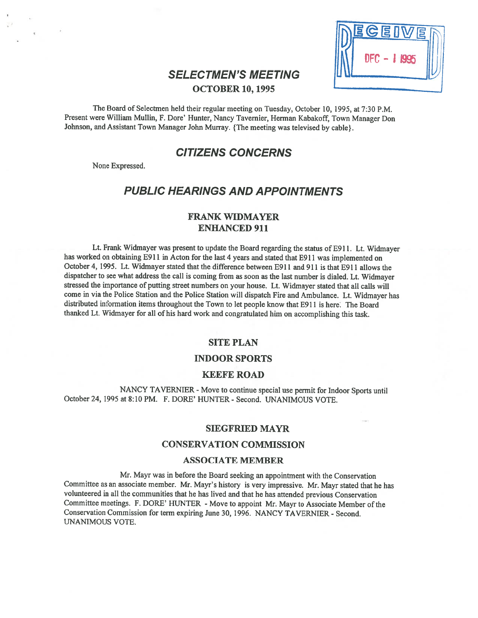|    | DEGEIVER   |  |
|----|------------|--|
| IN | <b>DFC</b> |  |
|    |            |  |

# SELECTMEN'S MEETING OCTOBER 10, 1995

The Board of Selectmen held their regular meeting on Tuesday, October 10, 1995, at 7:30 P.M. Present were William Mullin, F. Dore' Hunter, Nancy Tavemier, Herman Kabakoff, Town Manager Don Johnson, and Assistant Town Manager John Murray. {The meeting was televised by cable}.

# CITIZENS CONCERNS

None Expressed.

# PUBLIC HEARINGS AND APPOINTMENTS

## FRANK WIDMAYER ENHANCED 911

Lt. Frank Widmayer was presen<sup>t</sup> to update the Board regarding the status of E9 11. Lt. Widmayer has worked on obtaining E911 in Acton for the last 4 years and stated that E911 was implemented on October 4, 1995. Lt. Widmayer stated that the difference between E91 1 and 911 is that E91 1 allows the dispatcher to see what address the call is coming from as soon as the last number is dialed. Lt. Widmayer stressed the importance of putting street numbers on your house. Lt. Widmayer stated that all calls will come in via the Police Station and the Police Station will dispatch Fire and Ambulance. Lt. Widmayer has distributed information items throughout the Town to let people know that E9 <sup>11</sup> is here. The Board thanked Lt. Widmayer for all of his hard work and congratulated him on accomplishing this task.

## SITE PLAN

#### INDOOR SPORTS

### KEEFE ROAD

NANCY TAVERNIER - Move to continue special use permit for Indoor Sports until October 24, 1995 at 8:10 PM. F. DORE' HUNTER - Second. UNANIMOUS VOTE.

### SIEGFRIED MAYR

### CONSERVATION COMMISSION

### ASSOCIATE MEMBER

Mr. Mayr was in before the Board seeking an appointment with the Conservation Committee as an associate member. Mr. Mayr's history is very impressive. Mr. Mayr stated that he has volunteered in all the communities that he has lived and that he has attended previous Conservation Committee meetings. F. DORE' HUNTER - Move to appoint Mr. Mayr to Associate Member of the Conservation Commission for term expiring June 30, 1996. NANCY TAVERNIER - Second. UNANIMOUS VOTE.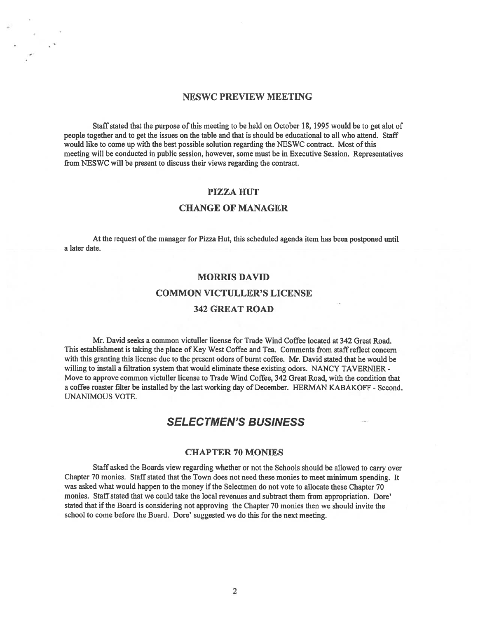### NESWC PREVIEW MEETING

Staff stated that the purpose of this meeting to be held on October 18, 1995 would be to ge<sup>t</sup> alot of people together and to ge<sup>t</sup> the issues on the table and that is should be educational to all who attend. Staff would like to come up with the best possible solution regarding the NESWC contract. Most of this meeting will be conducted in public session, however, some must be in Executive Session. Representatives from NESWC will be presen<sup>t</sup> to discuss their views regarding the contract.

## PIZZA HUT

### CHANGE OF MANAGER

At the request of the manager for Pizza Hut, this scheduled agenda item has been postponed until <sup>a</sup> later date.

### MORRIS DAVID

### COMMON VICTULLER'S LICENSE

### 342 GREAT ROAD

Mr. David seeks <sup>a</sup> common victuller license for Trade Wind Coffee located at 342 Great Road. This establishment is taking the place of Key West Coffee and Tea. Comments from staffreflect concern with this granting this license due to the presen<sup>t</sup> odors of burnt coffee. Mr. David stated that he would be willing to install <sup>a</sup> filtration system that would eliminate these existing odors. NANCY TAVERNIER - Move to approve common victuller license to Trade Wind Coffee, 342 Great Road, with the condition that <sup>a</sup> coffee roaster filter be installed by the last working day of December. HERMAN KABAKOFF - Second. UNANIMOUS VOTE.

# SELECTMEN'S BUSINESS

### CHAPTER 70 MONIES

Staff asked the Boards view regarding whether or not the Schools should be allowed to carry over Chapter 70 monies. Staff stated that the Town does not need these monies to meet minimum spending. It was asked what would happen to the money if the Selectmen do not vote to allocate these Chapter 70 monies. Staff stated that we could take the local revenues and subtract them from appropriation. Dore' stated that if the Board is considering not approving the Chapter 70 monies then we should invite the school to come before the Board. Dore' suggested we do this for the next meeting.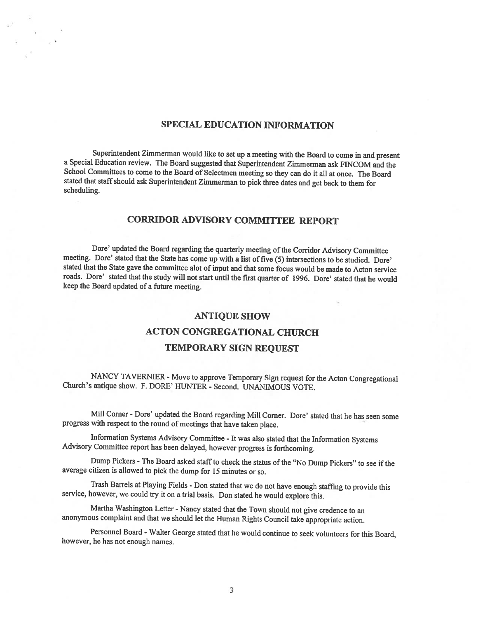## SPECIAL EDUCATION INFORMATION

Superintendent Zimmerman would like to set up <sup>a</sup> meeting with the Board to come in and present <sup>a</sup> Special Education review. The Board suggested that Superintendent Zimmerman ask FINCOM and the School Committees to come to the Board of Selectmen meeting so they can do it all at once. The Board stated that staff should ask Superintendent Zimmerman to <sup>p</sup>ick three dates and get back to them for scheduling.

## CORRIDOR ADVISORY COMMITTEE REPORT

Dore' updated the Board regarding the quarterly meeting of the Corridor Advisory Committee meeting. Dore' stated that the State has come up with <sup>a</sup> list of five (5) intersections to be studied. Dore' stated that the State gave the committee alot of input and that some focus would be made to Acton service roads. Dore' stated that the study will not start until the first quarter of 1996. Dore' stated that he would keep the Board updated of <sup>a</sup> future meeting.

#### ANTIQUE SHOW

# ACTON CONGREGATIONAL CHURCH TEMPORARY SIGN REQUEST

NANCY TAVERNIER - Move to approve Temporary Sign request for the Acton Congregational Church's antique show. F. DORE' HUNTER - Second. UNANIMOUS VOTE.

Mill Corner -Dore' updated the Board regarding Mill Corner. Dore' stated that he has seen some progress with respect to the round of meetings that have taken <sup>p</sup>lace.

Information Systems Advisory Committee - It was also stated that the Information Systems Advisory Committee report has been delayed, however progress is forthcoming.

Dump Pickers - The Board asked staff to check the status of the "No Dump Pickers" to see if the average citizen is allowed to <sup>p</sup>ick the dump for <sup>15</sup> minutes or so.

Trash Barrels at Playing Fields - Don stated that we do not have enoug<sup>h</sup> staffing to provide this service, however, we could try it on <sup>a</sup> trial basis. Don stated he would explore this.

Martha Washington Letter - Nancy stated that the Town should not give credence to an anonymous complaint and that we should let the Human Rights Council take appropriate action.

Personnel Board -Walter George stated that he would continue to seek volunteers for this Board, however, he has not enoug<sup>h</sup> names.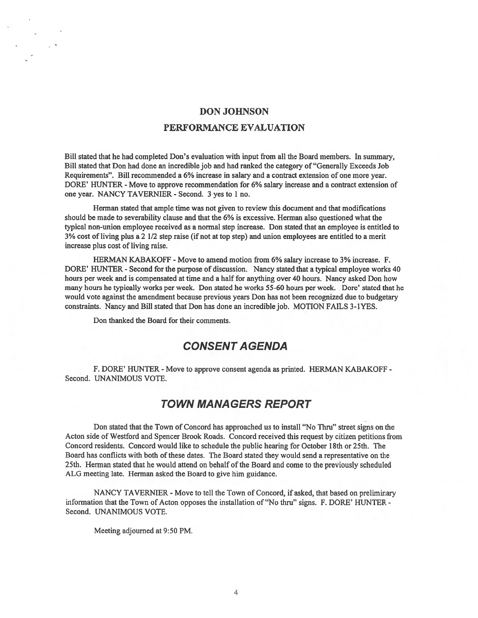# DON JOHNSON PERFORMANCE EVALUATION

Bill stated that he had completed Don's evaluation with input from all the Board members. In summary, Bill stated that Don had done an incredible job and had ranked the category of "Generally Exceeds Job Requirements". Bill recommended <sup>a</sup> 6% increase in salary and <sup>a</sup> contract extension of one more year. DORE' HUNTER - Move to approve recommendation for 6% salary increase and <sup>a</sup> contract extension of one year. NANCY TAVERNIER - Second. 3 yes to 1 no.

Herman stated that ample time was not given to review this document and that modifications should be made to severability clause and that the 6% is excessive. Herman also questioned what the typical non-union employee received as <sup>a</sup> normal step increase. Don stated that an employee is entitled to 3% cost of living plus <sup>a</sup> 2 1/2 step raise (if not at top step) and union employees are entitled to <sup>a</sup> merit increase plus cost of living raise.

HERMAN KABAKOFF - Move to amend motion from 6% salary increase to 3% increase. F. DORE' HUNTER - Second for the purpose of discussion. Nancy stated that <sup>a</sup> typical employee works 40 hours per week and is compensated at time and <sup>a</sup> half for anything over 40 hours. Nancy asked Don how many hours he typically works per week. Don stated he works 55-60 hours per week. Dore' stated that he would vote against the amendment because previous years Don has not been recognized due to budgetary constraints. Nancy and Bill stated that Don has done an incredible job. MOTION FAILS 3-1YES.

Don thanked the Board for their comments.

# CONSENT AGENDA

F. DORE' HUNTER - Move to approve consent agenda as printed. HERMAN KABAKOFF - Second. UNANIMOUS VOTE.

## TOWN MANAGERS REPORT

Don stated that the Town of Concord has approached us to install "No Thru" street signs on the Acton side of Westford and Spencer Brook Roads. Concord received this reques<sup>t</sup> by citizen petitions from Concord residents. Concord would like to schedule the public hearing for October 18th or 25th. The Board has conflicts with both of these dates. The Board stated they would send <sup>a</sup> representative on the 25th. Herman stated that he would attend on behalf of the Board and come to the previously scheduled ALG meeting late. Herman asked the Board to give him guidance.

NANCY TAVERNIER - Move to tell the Town of Concord, if asked, that based on preliminary information that the Town of Acton opposes the installation of"No thru" signs. F. DORE' HUNTER - Second. UNANIMOUS VOTE.

Meeting adjourned at 9:50 PM.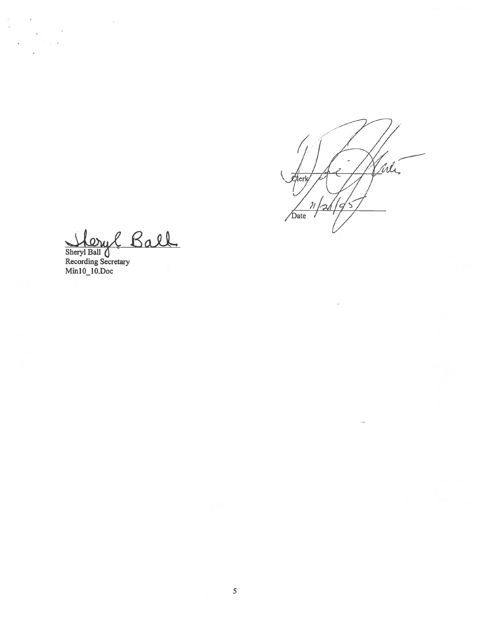[irl] Zierk/ 7<br>19  $\overline{\mathcal{U}}$  $\leq$ ズ  $\sqrt{\overline{\mathbf{b}}}$ ate

Shervl Ball 71

Recording Secretary Min10–10.Doc